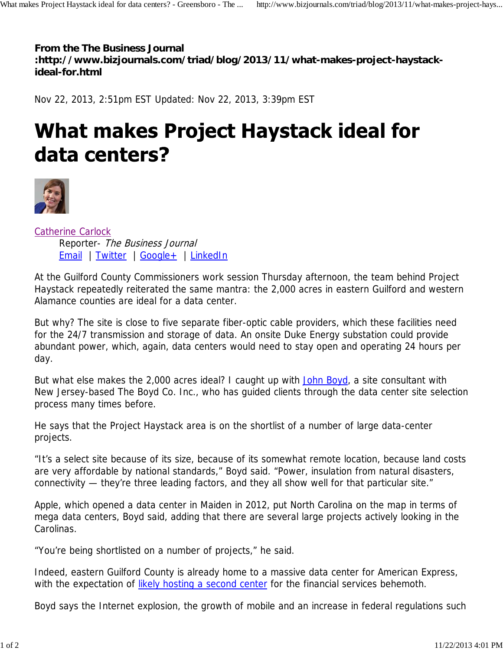**From the The Business Journal**

**:http://www.bizjournals.com/triad/blog/2013/11/what-makes-project-haystackideal-for.html**

Nov 22, 2013, 2:51pm EST Updated: Nov 22, 2013, 3:39pm EST

## **What makes Project Haystack ideal for** data centers?



Catherine Carlock Reporter- The Business Journal Email | Twitter | Google + | LinkedIn

At the Guilford County Commissioners work session Thursday afternoon, the team behind Project Haystack repeatedly reiterated the same mantra: the 2,000 acres in eastern Guilford and western Alamance counties are ideal for a data center.

But why? The site is close to five separate fiber-optic cable providers, which these facilities need for the 24/7 transmission and storage of data. An onsite Duke Energy substation could provide abundant power, which, again, data centers would need to stay open and operating 24 hours per day.

But what else makes the 2,000 acres ideal? I caught up with John Boyd, a site consultant with New Jersey-based The Boyd Co. Inc., who has guided clients through the data center site selection process many times before.

He says that the Project Haystack area is on the shortlist of a number of large data-center projects.

"It's a select site because of its size, because of its somewhat remote location, because land costs are very affordable by national standards," Boyd said. "Power, insulation from natural disasters, connectivity — they're three leading factors, and they all show well for that particular site."

Apple, which opened a data center in Maiden in 2012, put North Carolina on the map in terms of mega data centers, Boyd said, adding that there are several large projects actively looking in the Carolinas.

"You're being shortlisted on a number of projects," he said.

Indeed, eastern Guilford County is already home to a massive data center for American Express, with the expectation of likely hosting a second center for the financial services behemoth.

Boyd says the Internet explosion, the growth of mobile and an increase in federal regulations such